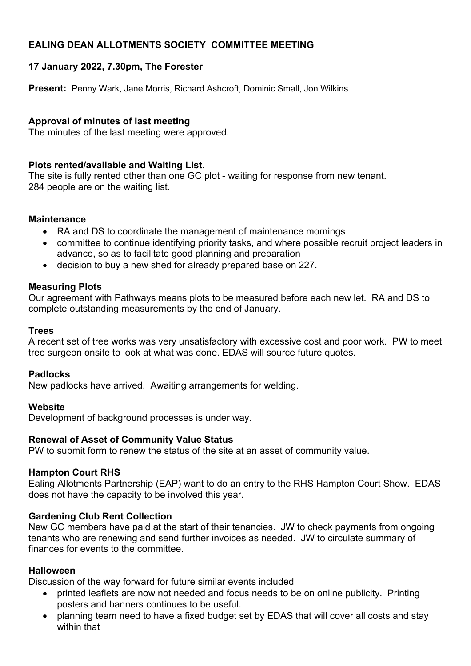# **EALING DEAN ALLOTMENTS SOCIETY COMMITTEE MEETING**

# **17 January 2022, 7.30pm, The Forester**

**Present:** Penny Wark, Jane Morris, Richard Ashcroft, Dominic Small, Jon Wilkins

# **Approval of minutes of last meeting**

The minutes of the last meeting were approved.

### **Plots rented/available and Waiting List.**

The site is fully rented other than one GC plot - waiting for response from new tenant. 284 people are on the waiting list.

### **Maintenance**

- RA and DS to coordinate the management of maintenance mornings
- committee to continue identifying priority tasks, and where possible recruit project leaders in advance, so as to facilitate good planning and preparation
- decision to buy a new shed for already prepared base on 227.

# **Measuring Plots**

Our agreement with Pathways means plots to be measured before each new let. RA and DS to complete outstanding measurements by the end of January.

### **Trees**

A recent set of tree works was very unsatisfactory with excessive cost and poor work. PW to meet tree surgeon onsite to look at what was done. EDAS will source future quotes.

#### **Padlocks**

New padlocks have arrived. Awaiting arrangements for welding.

#### **Website**

Development of background processes is under way.

# **Renewal of Asset of Community Value Status**

PW to submit form to renew the status of the site at an asset of community value.

#### **Hampton Court RHS**

Ealing Allotments Partnership (EAP) want to do an entry to the RHS Hampton Court Show. EDAS does not have the capacity to be involved this year.

# **Gardening Club Rent Collection**

New GC members have paid at the start of their tenancies. JW to check payments from ongoing tenants who are renewing and send further invoices as needed. JW to circulate summary of finances for events to the committee.

#### **Halloween**

Discussion of the way forward for future similar events included

- printed leaflets are now not needed and focus needs to be on online publicity. Printing posters and banners continues to be useful.
- planning team need to have a fixed budget set by EDAS that will cover all costs and stay within that